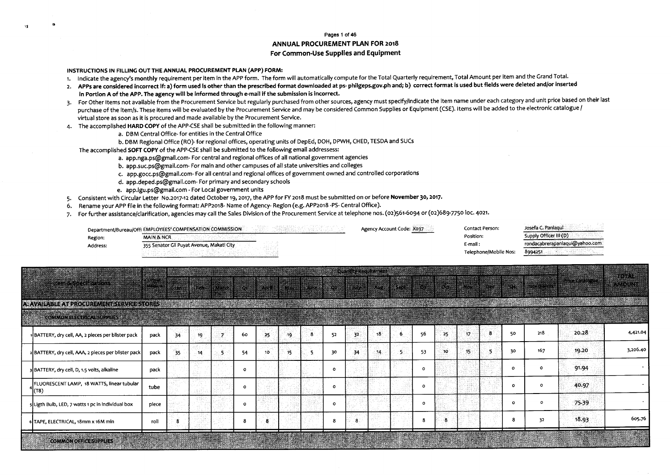## Pages 1 of 46 **ANNUAL PROCUREMENT PLAN FOR 2018** For Common-Use Supplies and Equipment

INSTRUCTIONS IN FILLING OUT THE ANNUAL PROCUREMENT PLAN (APP) FORM:

-18

- 1. Indicate the agency's monthly requirement per item in the APP form. The form will automatically compute for the Total Quarterly requirement, Total Amount per item and the Grand Total.
- 2. APPs are considered incorrect if: a) form used is other than the prescribed format downloaded at ps-philgeps.gov.ph and; b) correct format is used but fields were deleted and/or inserted in Portion A of the APP. The agency will be informed through e-mail if the submission is incorrect.
- 3. For Other Items not available from the Procurement Service but regularly purchased from other sources, agency must specify/indicate the item name under each category and unit price based on their last purchase of the item/s. These items will be evaluated by the Procurement Service and may be considered Common Supplies or Equipment (CSE). Items will be added to the electronic catalogue / virtual store as soon as it is procured and made available by the Procurement Service.
- The accomplished HARD COPY of the APP-CSE shall be submitted in the following manner:  $4.$ 
	- a. DBM Central Office- for entities in the Central Office
	- b. DBM Regional Office (RO)- for regional offices, operating units of DepEd, DOH, DPWH, CHED, TESDA and SUCs

The accomplished SOFT COPY of the APP-CSE shall be submitted to the following email addressess:

- a. app.nga.ps@gmail.com-For central and regional offices of all national government agencies
- b. app.suc.ps@gmail.com-For main and other campuses of all state universities and colleges
- c. app.gocc.ps@gmail.com-For all central and regional offices of government owned and controlled corporations
- d. app.deped.ps@gmail.com-For primary and secondary schools
- e. app.lgu.ps@gmail.com For Local government units
- 5. Consistent with Circular Letter No.2017-12 dated October 19, 2017, the APP for FY 2018 must be submitted on or before November 30, 2017.
- 6. Rename your APP file in the following format: APP2018- Name of Agency- Region (e.g. APP2018-PS- Central Office).
- 7. For further assistance/clarification, agencies may call the Sales Division of the Procurement Service at telephone nos. (02)561-6094 or (02)689-7750 loc. 4021.

|          | Department/Bureau/Offi EMPLOYEES' COMPENSATION COMMISSION | Agency Account Code: X037 | Contact Person:       | Josefa C. Panlaqui             |
|----------|-----------------------------------------------------------|---------------------------|-----------------------|--------------------------------|
| Region:  | <b>MAIN &amp; NCR</b>                                     |                           | Position:             | Supply Officer III (D)         |
| Address: | 355 Senator Gil Puyat Avenue, Makati City                 |                           | E-mail :              | rondacabrerapanlaqui@yahoo.com |
|          |                                                           |                           | Telephone/Mobile Nos: | 8994251                        |

| A: AVAILABLE AT PROCUREMENT SERVICE STORES                                        |       |    |     |     |          |      |    |   |          |     |    |    |          |     |     |          |         |       |                  |
|-----------------------------------------------------------------------------------|-------|----|-----|-----|----------|------|----|---|----------|-----|----|----|----------|-----|-----|----------|---------|-------|------------------|
| <b>COMMON BLECTRICAL SUPPLIES 1998</b><br><b>SALE OF A REPORT OF A STATE OF A</b> |       |    |     |     |          |      |    |   |          |     |    |    |          |     |     |          |         |       | <b>William A</b> |
| BATTERY, dry cell, AA, 2 pieces per blister pack {                                | pack  | 34 | 19  |     | 60       | -25. | 19 | ε | 52       | 32  | 18 | ÷ħ | 56       | 25  | -17 | 50       | 218     | 20.28 | 4,421.04         |
| 2 BATTERY, dry cell, AAA, 2 pieces per blister pack                               | pack  | 35 | -14 | -5. | 54       | 10   | 15 |   | 30       | -34 | 14 | -5 | 53       | -10 | 15  | -30      | 167     | 19.20 | 3,206.40         |
| 3 BATTERY, dry cell, D, 1.5 volts, alkaline                                       | pack  |    |     |     | $\Omega$ |      |    |   | $\Omega$ |     |    |    | $\Omega$ |     |     | $\Omega$ | $\circ$ | 91.94 |                  |
| FLUORESCENT LAMP, 18 WATTS, linear tubular<br>(T8)                                | tube  |    |     |     | $\Omega$ |      |    |   | O        |     |    |    | $\circ$  |     |     | $\Omega$ | $\circ$ | 40.97 |                  |
| s Ligth Bulb, LED, 7 watts 1 pc in individual box                                 | piece |    |     |     | $\Omega$ |      |    |   | O        |     |    |    | $\circ$  |     |     | $\Omega$ | $\circ$ | 75.39 |                  |
| 6 TAPE, ELECTRICAL, 18mm x 16M min                                                | roll  |    |     |     |          | -8   |    |   | 8        | 8   |    |    | 8        | -8  |     |          | 32      | 18.93 | 605.76           |
| <b>COMMON OFFICE SUPPLIES</b>                                                     |       |    |     |     |          |      |    |   |          |     |    |    |          |     |     |          |         |       |                  |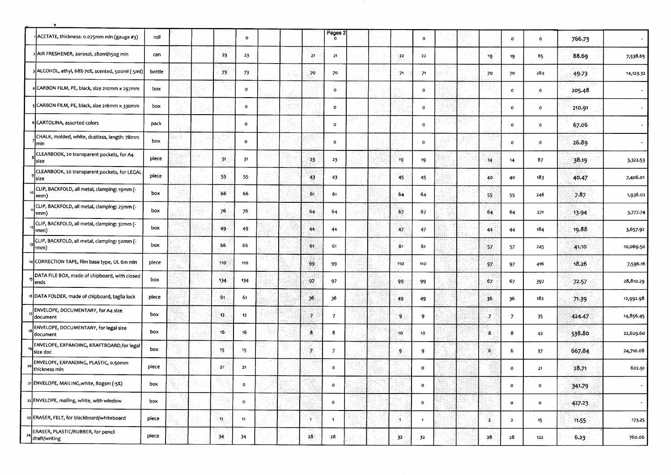|                | ACETATE, thickness: 0.075mm min (gauge #3)                   | roll   |  |                 | $\mathbf{o}$ |  |              | Pages $2\frac{0}{2}$ |  |                 | $\circ$        |  |     | $\mathbf{o}$   | $\mathbf 0$  | 766.73 |                |
|----------------|--------------------------------------------------------------|--------|--|-----------------|--------------|--|--------------|----------------------|--|-----------------|----------------|--|-----|----------------|--------------|--------|----------------|
|                | AIR FRESHENER, aerosol, 28oml/150g min                       | can    |  | 23              | 23           |  | $-21$        | 21                   |  | -22             | 22             |  | 19  | 19             | 85           | 88.69  | 7,538.65       |
|                | ALCOHOL, ethyl, 68%-70%, scented, 500ml (-5ml)               | bottle |  | 73              | 73           |  | 70           | 70                   |  | 71              | 71             |  | -70 | 70             | 284          | 49.73  | 14,123.32      |
|                | CARBON FILM, PE, black, size 210mm x 297mm                   | box    |  |                 | $\bullet$    |  |              | $\circ$              |  |                 | $\circ$        |  |     | $\mathbf{o}$   | $\circ$      | 205.48 | $\bullet$      |
|                | CARBON FILM, PE, black, size 216mm x 330mm                   | box    |  |                 | $\circ$      |  |              | $\mathbf{o}$         |  |                 | $\mathbf{o}$   |  |     | $\circ$        | $\circ$      | 210.91 | $\blacksquare$ |
|                | 6 CARTOLINA, assorted colors                                 | pack   |  |                 | $\mathbf 0$  |  |              | $\mathbf{o}$         |  |                 | $\bullet$      |  |     | $\mathbf{o}$   | $\circ$      | 67.06  | $\bullet$      |
|                | CHALK, molded, white, dustless, length: 78mm<br>min          | box    |  |                 | $\bullet$    |  |              | $\mathbf{o}$         |  |                 | $\circ$        |  |     | $\mathbf 0$    | $\circ$      | 26.89  | $\sim$         |
|                | CLEARBOOK, 20 transparent pockets, for A4<br>size            | piece  |  | 31              | 31           |  | 23           | 23                   |  | 19              | 19             |  | 14  | 14             | 87           | 38.19  | 3,322.53       |
|                | CLEARBOOK, 20 transparent pockets, for LEGAL<br><b>Isize</b> | piece  |  | 55              | 55           |  | 43           | 43                   |  | 45              | 45             |  | 40  | 40             | 183          | 40.47  | 7,406.01       |
|                | CLIP, BACKFOLD, all metal, clamping: 19mm (-<br>1mm)         | box    |  | 66              | 66           |  | 61           | 61                   |  | 64              | 64             |  | 55  | 55             | 246          | 7.87   | 1,936.02       |
|                | CLIP, BACKFOLD, all metal, clamping: 25mm (-<br>1mm)         | box    |  | 76              | 76           |  | .64          | 64                   |  | 67              | 67             |  | 64  | 64             | 271          | 13.94  | 3,777.74       |
|                | CLIP, BACKFOLD, all metal, clamping: 32mm (-<br>nmm)         | box    |  | 49              | 49           |  | 44           | 44                   |  | 47              | 47             |  | 44  | 44             | 184          | 19.88  | 3,657.92       |
|                | CLIP, BACKFOLD, all metal, clamping: 50mm (-<br> 1mm)        | box    |  | 66              | 66           |  | 61           | 61                   |  | 61              | 61             |  | 57  | 57             | 245          | 41.10  | 10,069.50      |
|                | CORRECTION TAPE, film base type, UL 6m min                   | piece  |  | 110             | 110          |  | 99           | 99                   |  | 110             | 110            |  | 97  | 97             | 416          | 18.26  | 7,596.16       |
|                | DATA FILE BOX, made of chipboard, with closed<br>ends        | box    |  | 134             | 134          |  | 97           | 97                   |  | 99              | 99             |  | 67  | 67             | 397          | 72.57  | 28,810.29      |
|                | 16 DATA FOLDER, made of chipboard, taglia lock               | piece  |  | 61              | 61           |  | 36           | 36                   |  | 49              | 49             |  | 36  | 36             | 182          | 71.39  | 12,992.98      |
|                | ENVELOPE, DOCUMENTARY, for A4 size<br>document               | box    |  | 12              | 12           |  |              | $\overline{7}$       |  | 9               | 9              |  | 7   | $\overline{z}$ | 35           | 424.47 | 14,856.45      |
|                | ENVELOPE, DOCUMENTARY, for legal size<br>document            | box    |  | 16              | 16           |  | $\bf{8}$     | 8                    |  | 10              | 10             |  | 8   | 8              | 42           | 538.80 | 22,629.60      |
| 19             | ENVELOPE, EXPANDING, KRAFTBOARD, for legal<br>size doc       | box    |  | 15 <sup>°</sup> | 15           |  | $\mathcal I$ | $\overline{7}$       |  | $\cdot$ 9       | 9              |  | -6  | 6              | 37           | 667.84 | 24,710.08      |
| $\overline{2}$ | ENVELOPE, EXPANDING, PLASTIC, 0.50mm<br>thickness min        | piece  |  | 21              | 21           |  |              | $\mathbf{o}$         |  |                 | $\circ$        |  |     | $\circ$        | 21           | 28.71  | 602.91         |
|                | 21 ENVELOPE, MAILING, white, 80gsm (-5%)                     | box    |  |                 | $\mathbf{o}$ |  |              | $\mathbf{o}$         |  |                 | $\circ$        |  |     | $\mathbf{o}$   | $\mathbf{o}$ | 341.79 | $\sim$         |
|                | 22 ENVELOPE, mailing, white, with window                     | box    |  |                 | $\mathbf{o}$ |  |              | $\mathbf{o}$         |  |                 | $\circ$        |  |     | $\bullet$      | $\bullet$    | 427.23 | $\blacksquare$ |
|                | 23 ERASER, FELT, for blackboard/whiteboard                   | piece  |  | -11             | 11           |  | ٠Ť           | $\blacksquare$       |  | đ.,             | $\overline{1}$ |  | 2.  | $\overline{2}$ | $15 -$       | 11.55  | 173.25         |
| 24             | ERASER, PLASTIC/RUBBER, for pencil<br>draft/writing          | piece  |  | 34              | 34           |  | 28           | 28                   |  | 32 <sub>1</sub> | 32             |  | 28  | 28             | 122          | 6.23   | 760.06         |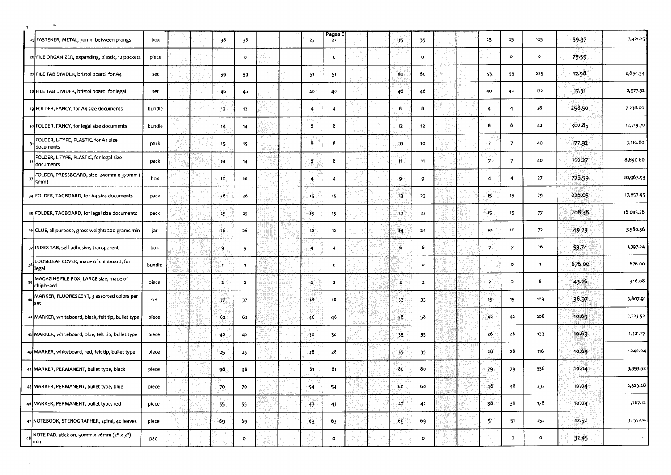| 25 FASTENER, METAL, 70mm between prongs                    | DOX    |  | 38               | 38             |  | 27                      | Pages $\frac{3}{27}$    |  | 35              | 35             |  | 25                | 25             | 125          | 59-37  | 7,421.25  |
|------------------------------------------------------------|--------|--|------------------|----------------|--|-------------------------|-------------------------|--|-----------------|----------------|--|-------------------|----------------|--------------|--------|-----------|
| 26 FILE ORGANIZER, expanding, plastic, 12 pockets          | piece  |  |                  | $\mathbf{o}$   |  |                         | $\mathbf{o}$            |  |                 | $\mathbf{o}$   |  |                   | $\mathbf{o}$   | $\mathbf{o}$ | 73.59  |           |
| 27 FILE TAB DIVIDER, bristol board, for A4                 | set    |  | 59               | 59             |  | 51                      | 51                      |  | 60              | 60             |  | 53                | 53             | 223          | 12.98  | 2,894.54  |
| 28 FILE TAB DIVIDER, bristol board, for legal              | set    |  | 46.              | 46             |  | 40                      | 40                      |  | 46              | 46             |  | 40                | 40             | 172          | 17.31  | 2,977.32  |
| 29 FOLDER, FANCY, for A4 size documents                    | bundle |  | $-12$            | 12             |  | $\overline{4}$          | $\overline{4}$          |  | $\bf{8}$        | 8              |  | 4                 | $\overline{4}$ | 28           | 258.50 | 7,238.00  |
| 30 FOLDER, FANCY, for legal size documents                 | bundle |  | 14               | 14             |  | $\overline{\mathbf{8}}$ | 8                       |  | $12^\circ$      | 12             |  | 8                 | 8              | 42           | 302.85 | 12,719.70 |
| FOLDER, L-TYPE, PLASTIC, for A4 size<br>31<br>documents    | pack   |  | 15 <sub>15</sub> | 15             |  | $\bf{8}$                | 8                       |  | 10              | 10             |  | 17.               | $\overline{7}$ | 40           | 177.92 | 7,116.80  |
| FOLDER, L-TYPE, PLASTIC, for legal size<br>32<br>documents | pack   |  | 14.              | 14             |  | $\mathbf{8}$            | 8                       |  | 11              | 11             |  | -7                | $\overline{7}$ | 40           | 222.27 | 8,890.80  |
| FOLDER, PRESSBOARD, size: 240mm x 370mm (-<br>33<br>5mm)   | box    |  | 10               | 10             |  | 4                       | $\overline{4}$          |  | 9.              | 9              |  | $\overline{4}$    | $\overline{4}$ | 27           | 776.59 | 20,967.93 |
| 34 FOLDER, TAGBOARD, for A4 size documents                 | pack   |  | 26               | 26             |  | 15 <sup>2</sup>         | 15                      |  | 23              | 23             |  | 15                | 15             | 79           | 226.05 | 17,857.95 |
| 35 FOLDER, TAGBOARD, for legal size documents              | pack   |  | 25               | 25             |  | 15                      | 15                      |  | 22              | 22             |  | 15                | 15             | 77           | 208.38 | 16,045.26 |
| 36 GLUE, all purpose, gross weight: 200 grams min          | jar    |  | 26               | 26             |  | $12\,$                  | 12                      |  | 24              | 24             |  | 10                | 10             | 72           | 49.73  | 3,580.56  |
| 37 INDEX TAB, self-adhesive, transparent                   | box    |  | $\cdot$ 9        | 9              |  | $\overline{A}$          | $\overline{\mathbf{4}}$ |  | $6\overline{6}$ | 6              |  | $\overline{\tau}$ | $\overline{7}$ | 26           | 53.74  | 1,397.24  |
| LOOSELEAF COVER, made of chipboard, for<br>38<br>legal     | bundle |  | À.               | $\mathbf{1}$   |  |                         | $\mathbf{o}$            |  |                 | $\mathbf{o}$   |  |                   | $\mathbf{o}$   | 1            | 676.00 | 676.00    |
| MAGAZINE FILE BOX, LARGE size, made of<br>39<br>chipboard  | piece  |  | 2                | $\overline{2}$ |  | -21                     | $\overline{2}$          |  | $\mathbf{A}$    | $\overline{2}$ |  | $\cdot$ 2         | $\overline{2}$ | 8            | 43.26  | 346.08    |
| MARKER, FLUORESCENT, 3 assorted colors per<br>40<br> set   | set    |  | 37               | 37             |  | 18                      | 18                      |  | 33              | 33             |  | $15 -$            | 15             | 103          | 36.97  | 3,807.91  |
| 41 MARKER, whiteboard, black, felt tip, bullet type        | piece  |  | 62               | 62             |  | 46                      | 46                      |  | 58              | 58             |  | 42                | 42             | 208          | 10.69  | 2,223.52  |
| 42 MARKER, whiteboard, blue, felt tip, bullet type         | piece  |  | 42               | 42             |  | -30                     | 30                      |  | 35              | 35             |  | 26                | 26             | 133          | 10.69  | 1,421.77  |
| 43 MARKER, whiteboard, red, felt tip, bullet type          | piece  |  | 25               | 25             |  | 28                      | 28                      |  | 35              | 35             |  | 28                | 28             | 116          | 10.69  | 1,240.04  |
| 44 MARKER, PERMANENT, bullet type, black                   | piece  |  | 98.              | 98             |  | 31                      | 81                      |  | 80              | 80             |  | 79                | 79             | 338          | 10.04  | 3,393.52  |
| 45 MARKER, PERMANENT, bullet type, blue                    | piece  |  | 70               | 70             |  | 54                      | 54                      |  | 60              | 60             |  | 48                | 48             | 232          | 10.04  | 2,329.28  |
| 46 MARKER, PERMANENT, bullet type, red                     | piece  |  | 55               | 55             |  | 43                      | 43                      |  | 42              | 42             |  | 38                | 38             | 178          | 10.04  | 1,787.12  |
| 47 NOTEBOOK, STENOGRAPHER, spiral, 40 leaves               | piece  |  | 69               | 69             |  | 63                      | 63                      |  | 69              | 69             |  | 51                | 51             | 252          | 12.52  | 3,155.04  |
| NOTE PAD, stick on, 50mm x 76mm (2" x 3")<br>48<br>min]    | pad    |  |                  | $\mathbf{o}$   |  |                         | $\circ$                 |  |                 | $\mathbf{o}$   |  |                   | $\circ$        | $\mathbf{o}$ | 32.45  |           |